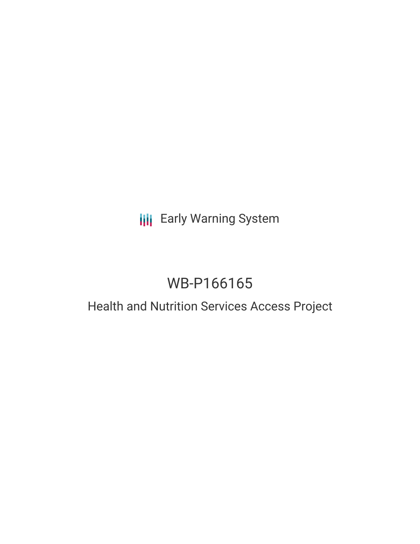## **III** Early Warning System

# WB-P166165

## Health and Nutrition Services Access Project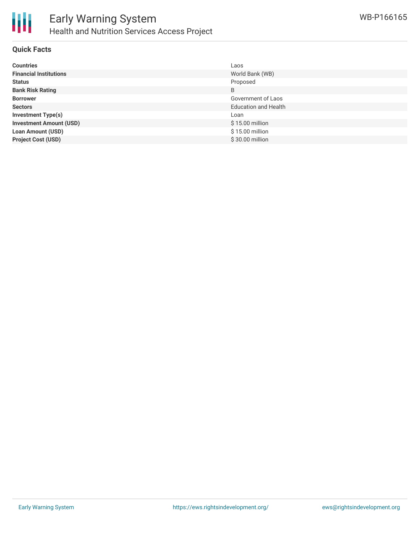

#### **Quick Facts**

| <b>Countries</b>               | Laos                        |
|--------------------------------|-----------------------------|
| <b>Financial Institutions</b>  | World Bank (WB)             |
| <b>Status</b>                  | Proposed                    |
| <b>Bank Risk Rating</b>        | B                           |
| <b>Borrower</b>                | Government of Laos          |
| <b>Sectors</b>                 | <b>Education and Health</b> |
| <b>Investment Type(s)</b>      | Loan                        |
| <b>Investment Amount (USD)</b> | \$15.00 million             |
| <b>Loan Amount (USD)</b>       | \$15.00 million             |
| <b>Project Cost (USD)</b>      | \$30.00 million             |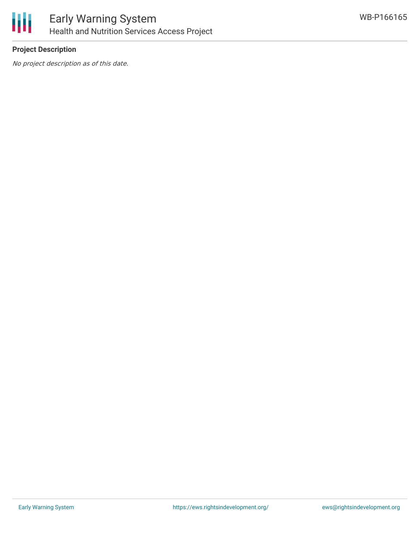

## **Project Description**

No project description as of this date.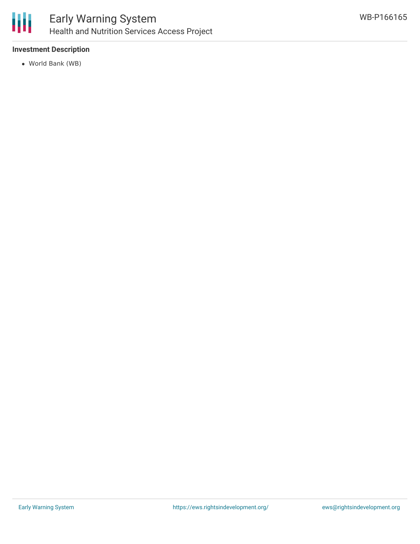

### **Investment Description**

World Bank (WB)